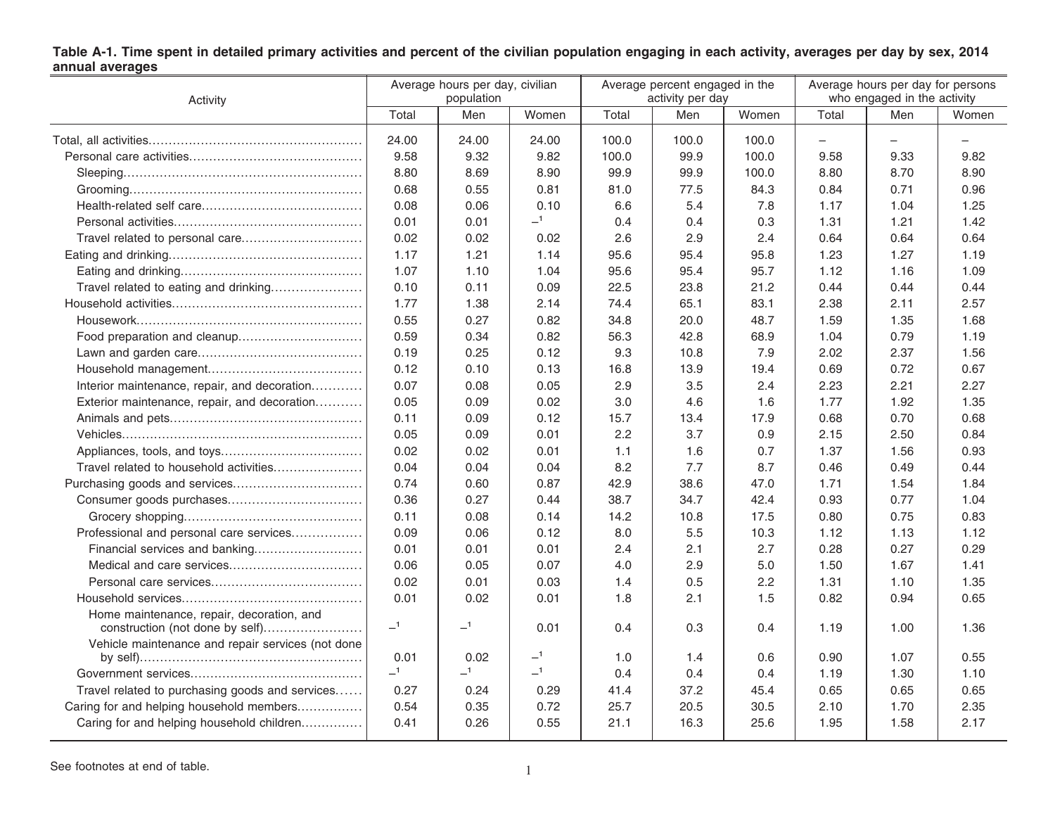| Activity                                                                     | Average hours per day, civilian<br>population |              |       | Average percent engaged in the<br>activity per day |       |       | Average hours per day for persons<br>who engaged in the activity |      |       |
|------------------------------------------------------------------------------|-----------------------------------------------|--------------|-------|----------------------------------------------------|-------|-------|------------------------------------------------------------------|------|-------|
|                                                                              | Total                                         | Men          | Women | Total                                              | Men   | Women | Total                                                            | Men  | Women |
|                                                                              | 24.00                                         | 24.00        | 24.00 | 100.0                                              | 100.0 | 100.0 |                                                                  |      |       |
|                                                                              | 9.58                                          | 9.32         | 9.82  | 100.0                                              | 99.9  | 100.0 | 9.58                                                             | 9.33 | 9.82  |
|                                                                              | 8.80                                          | 8.69         | 8.90  | 99.9                                               | 99.9  | 100.0 | 8.80                                                             | 8.70 | 8.90  |
|                                                                              | 0.68                                          | 0.55         | 0.81  | 81.0                                               | 77.5  | 84.3  | 0.84                                                             | 0.71 | 0.96  |
|                                                                              | 0.08                                          | 0.06         | 0.10  | 6.6                                                | 5.4   | 7.8   | 1.17                                                             | 1.04 | 1.25  |
|                                                                              | 0.01                                          | 0.01         | $-1$  | 0.4                                                | 0.4   | 0.3   | 1.31                                                             | 1.21 | 1.42  |
|                                                                              | 0.02                                          | 0.02         | 0.02  | 2.6                                                | 2.9   | 2.4   | 0.64                                                             | 0.64 | 0.64  |
|                                                                              | 1.17                                          | 1.21         | 1.14  | 95.6                                               | 95.4  | 95.8  | 1.23                                                             | 1.27 | 1.19  |
|                                                                              | 1.07                                          | 1.10         | 1.04  | 95.6                                               | 95.4  | 95.7  | 1.12                                                             | 1.16 | 1.09  |
| Travel related to eating and drinking                                        | 0.10                                          | 0.11         | 0.09  | 22.5                                               | 23.8  | 21.2  | 0.44                                                             | 0.44 | 0.44  |
|                                                                              | 1.77                                          | 1.38         | 2.14  | 74.4                                               | 65.1  | 83.1  | 2.38                                                             | 2.11 | 2.57  |
|                                                                              | 0.55                                          | 0.27         | 0.82  | 34.8                                               | 20.0  | 48.7  | 1.59                                                             | 1.35 | 1.68  |
|                                                                              | 0.59                                          | 0.34         | 0.82  | 56.3                                               | 42.8  | 68.9  | 1.04                                                             | 0.79 | 1.19  |
|                                                                              | 0.19                                          | 0.25         | 0.12  | 9.3                                                | 10.8  | 7.9   | 2.02                                                             | 2.37 | 1.56  |
|                                                                              | 0.12                                          | 0.10         | 0.13  | 16.8                                               | 13.9  | 19.4  | 0.69                                                             | 0.72 | 0.67  |
| Interior maintenance, repair, and decoration                                 | 0.07                                          | 0.08         | 0.05  | 2.9                                                | 3.5   | 2.4   | 2.23                                                             | 2.21 | 2.27  |
| Exterior maintenance, repair, and decoration                                 | 0.05                                          | 0.09         | 0.02  | 3.0                                                | 4.6   | 1.6   | 1.77                                                             | 1.92 | 1.35  |
|                                                                              | 0.11                                          | 0.09         | 0.12  | 15.7                                               | 13.4  | 17.9  | 0.68                                                             | 0.70 | 0.68  |
|                                                                              | 0.05                                          | 0.09         | 0.01  | 2.2                                                | 3.7   | 0.9   | 2.15                                                             | 2.50 | 0.84  |
|                                                                              | 0.02                                          | 0.02         | 0.01  | 1.1                                                | 1.6   | 0.7   | 1.37                                                             | 1.56 | 0.93  |
| Travel related to household activities                                       | 0.04                                          | 0.04         | 0.04  | 8.2                                                | 7.7   | 8.7   | 0.46                                                             | 0.49 | 0.44  |
|                                                                              | 0.74                                          | 0.60         | 0.87  | 42.9                                               | 38.6  | 47.0  | 1.71                                                             | 1.54 | 1.84  |
|                                                                              | 0.36                                          | 0.27         | 0.44  | 38.7                                               | 34.7  | 42.4  | 0.93                                                             | 0.77 | 1.04  |
|                                                                              | 0.11                                          | 0.08         | 0.14  | 14.2                                               | 10.8  | 17.5  | 0.80                                                             | 0.75 | 0.83  |
| Professional and personal care services                                      | 0.09                                          | 0.06         | 0.12  | 8.0                                                | 5.5   | 10.3  | 1.12                                                             | 1.13 | 1.12  |
| Financial services and banking                                               | 0.01                                          | 0.01         | 0.01  | 2.4                                                | 2.1   | 2.7   | 0.28                                                             | 0.27 | 0.29  |
|                                                                              | 0.06                                          | 0.05         | 0.07  | 4.0                                                | 2.9   | 5.0   | 1.50                                                             | 1.67 | 1.41  |
|                                                                              | 0.02                                          | 0.01         | 0.03  | 1.4                                                | 0.5   | 2.2   | 1.31                                                             | 1.10 | 1.35  |
|                                                                              | 0.01                                          | 0.02         | 0.01  | 1.8                                                | 2.1   | 1.5   | 0.82                                                             | 0.94 | 0.65  |
| Home maintenance, repair, decoration, and<br>construction (not done by self) | $-1$                                          | $-1$         | 0.01  | 0.4                                                | 0.3   | 0.4   | 1.19                                                             | 1.00 | 1.36  |
| Vehicle maintenance and repair services (not done                            |                                               |              | $-1$  |                                                    |       |       |                                                                  |      |       |
|                                                                              | 0.01<br>$-1$                                  | 0.02<br>$-1$ | $-1$  | 1.0                                                | 1.4   | 0.6   | 0.90                                                             | 1.07 | 0.55  |
|                                                                              |                                               |              |       | 0.4                                                | 0.4   | 0.4   | 1.19                                                             | 1.30 | 1.10  |
| Travel related to purchasing goods and services                              | 0.27                                          | 0.24         | 0.29  | 41.4                                               | 37.2  | 45.4  | 0.65                                                             | 0.65 | 0.65  |
| Caring for and helping household members                                     | 0.54                                          | 0.35         | 0.72  | 25.7                                               | 20.5  | 30.5  | 2.10                                                             | 1.70 | 2.35  |
| Caring for and helping household children                                    | 0.41                                          | 0.26         | 0.55  | 21.1                                               | 16.3  | 25.6  | 1.95                                                             | 1.58 | 2.17  |

## Table A-1. Time spent in detailed primary activities and percent of the civilian population engaging in each activity, averages per day by sex, 2014<br>annual averages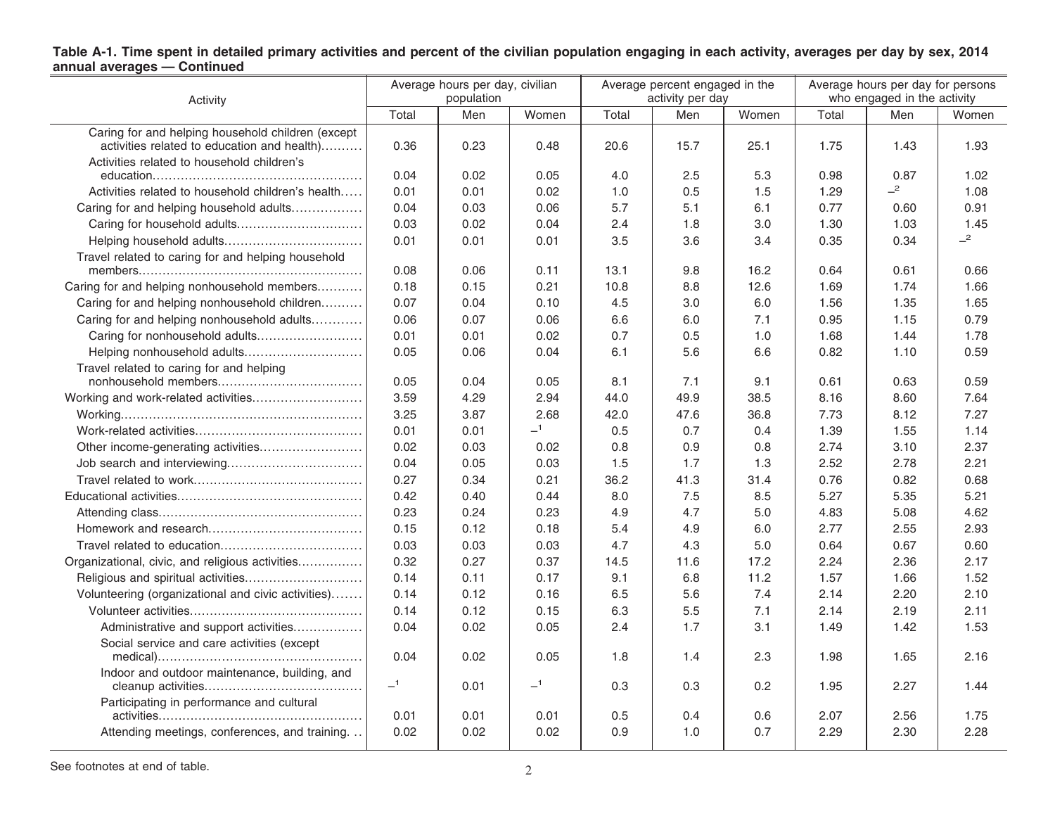## Table A-1. Time spent in detailed primary activities and percent of the civilian population engaging in each activity, averages per day by sex, 2014<br>annual averages — Continued

| Activity                                                                                         | Average hours per day, civilian<br>population |              |              | Average percent engaged in the<br>activity per day |            |            | Average hours per day for persons<br>who engaged in the activity |              |              |
|--------------------------------------------------------------------------------------------------|-----------------------------------------------|--------------|--------------|----------------------------------------------------|------------|------------|------------------------------------------------------------------|--------------|--------------|
|                                                                                                  | Total                                         | Men          | Women        | Total                                              | Men        | Women      | Total                                                            | Men          | Women        |
| Caring for and helping household children (except<br>activities related to education and health) | 0.36                                          | 0.23         | 0.48         | 20.6                                               | 15.7       | 25.1       | 1.75                                                             | 1.43         | 1.93         |
| Activities related to household children's                                                       | 0.04                                          | 0.02         | 0.05         | 4.0                                                | 2.5        | 5.3        | 0.98                                                             | 0.87         | 1.02         |
| Activities related to household children's health                                                | 0.01                                          | 0.01         | 0.02         | 1.0                                                | 0.5        | 1.5        | 1.29                                                             | $-2$         | 1.08         |
|                                                                                                  | 0.04                                          | 0.03         | 0.06         | 5.7                                                | 5.1        | 6.1        | 0.77                                                             |              | 0.91         |
| Caring for and helping household adults                                                          |                                               |              |              |                                                    |            |            |                                                                  | 0.60         |              |
|                                                                                                  | 0.03                                          | 0.02<br>0.01 | 0.04<br>0.01 | 2.4<br>3.5                                         | 1.8<br>3.6 | 3.0<br>3.4 | 1.30<br>0.35                                                     | 1.03<br>0.34 | 1.45<br>$-2$ |
|                                                                                                  | 0.01                                          |              |              |                                                    |            |            |                                                                  |              |              |
| Travel related to caring for and helping household                                               | 0.08                                          | 0.06         | 0.11         | 13.1                                               | 9.8        | 16.2       | 0.64                                                             | 0.61         | 0.66         |
| Caring for and helping nonhousehold members                                                      | 0.18                                          | 0.15         | 0.21         | 10.8                                               | 8.8        | 12.6       | 1.69                                                             | 1.74         | 1.66         |
| Caring for and helping nonhousehold children                                                     | 0.07                                          | 0.04         | 0.10         | 4.5                                                | 3.0        | 6.0        | 1.56                                                             | 1.35         | 1.65         |
| Caring for and helping nonhousehold adults                                                       | 0.06                                          | 0.07         | 0.06         | 6.6                                                | 6.0        | 7.1        | 0.95                                                             | 1.15         | 0.79         |
| Caring for nonhousehold adults                                                                   | 0.01                                          | 0.01         | 0.02         | 0.7                                                | 0.5        | 1.0        | 1.68                                                             | 1.44         | 1.78         |
| Helping nonhousehold adults                                                                      | 0.05                                          | 0.06         | 0.04         | 6.1                                                | 5.6        | 6.6        | 0.82                                                             | 1.10         | 0.59         |
| Travel related to caring for and helping                                                         |                                               |              |              |                                                    |            |            |                                                                  |              |              |
|                                                                                                  | 0.05                                          | 0.04         | 0.05         | 8.1                                                | 7.1        | 9.1        | 0.61                                                             | 0.63         | 0.59         |
| Working and work-related activities                                                              | 3.59                                          | 4.29         | 2.94         | 44.0                                               | 49.9       | 38.5       | 8.16                                                             | 8.60         | 7.64         |
|                                                                                                  | 3.25                                          | 3.87         | 2.68         | 42.0                                               | 47.6       | 36.8       | 7.73                                                             | 8.12         | 7.27         |
|                                                                                                  | 0.01                                          | 0.01         | $-1$         | 0.5                                                | 0.7        | 0.4        | 1.39                                                             | 1.55         | 1.14         |
|                                                                                                  | 0.02                                          | 0.03         | 0.02         | 0.8                                                | 0.9        | 0.8        | 2.74                                                             | 3.10         | 2.37         |
|                                                                                                  | 0.04                                          | 0.05         | 0.03         | 1.5                                                | 1.7        | 1.3        | 2.52                                                             | 2.78         | 2.21         |
|                                                                                                  | 0.27                                          | 0.34         | 0.21         | 36.2                                               | 41.3       | 31.4       | 0.76                                                             | 0.82         | 0.68         |
|                                                                                                  | 0.42                                          | 0.40         | 0.44         | 8.0                                                | 7.5        | 8.5        | 5.27                                                             | 5.35         | 5.21         |
|                                                                                                  | 0.23                                          | 0.24         | 0.23         | 4.9                                                | 4.7        | 5.0        | 4.83                                                             | 5.08         | 4.62         |
|                                                                                                  | 0.15                                          | 0.12         | 0.18         | 5.4                                                | 4.9        | 6.0        | 2.77                                                             | 2.55         | 2.93         |
|                                                                                                  | 0.03                                          | 0.03         | 0.03         | 4.7                                                | 4.3        | 5.0        | 0.64                                                             | 0.67         | 0.60         |
| Organizational, civic, and religious activities                                                  | 0.32                                          | 0.27         | 0.37         | 14.5                                               | 11.6       | 17.2       | 2.24                                                             | 2.36         | 2.17         |
|                                                                                                  | 0.14                                          | 0.11         | 0.17         | 9.1                                                | 6.8        | 11.2       | 1.57                                                             | 1.66         | 1.52         |
| Volunteering (organizational and civic activities)                                               | 0.14                                          | 0.12         | 0.16         | 6.5                                                | 5.6        | 7.4        | 2.14                                                             | 2.20         | 2.10         |
|                                                                                                  | 0.14                                          | 0.12         | 0.15         | 6.3                                                | 5.5        | 7.1        | 2.14                                                             | 2.19         | 2.11         |
| Administrative and support activities                                                            | 0.04                                          | 0.02         | 0.05         | 2.4                                                | 1.7        | 3.1        | 1.49                                                             | 1.42         | 1.53         |
| Social service and care activities (except                                                       |                                               |              |              |                                                    |            |            |                                                                  |              |              |
|                                                                                                  | 0.04                                          | 0.02         | 0.05         | 1.8                                                | 1.4        | 2.3        | 1.98                                                             | 1.65         | 2.16         |
| Indoor and outdoor maintenance, building, and                                                    | $-1$                                          | 0.01         | $-1$         | 0.3                                                | 0.3        | 0.2        | 1.95                                                             | 2.27         | 1.44         |
| Participating in performance and cultural                                                        |                                               |              |              |                                                    |            |            |                                                                  |              |              |
|                                                                                                  | 0.01                                          | 0.01         | 0.01         | 0.5                                                | 0.4        | 0.6        | 2.07                                                             | 2.56         | 1.75         |
| Attending meetings, conferences, and training.                                                   | 0.02                                          | 0.02         | 0.02         | 0.9                                                | 1.0        | 0.7        | 2.29                                                             | 2.30         | 2.28         |

See footnotes at end of table. 2